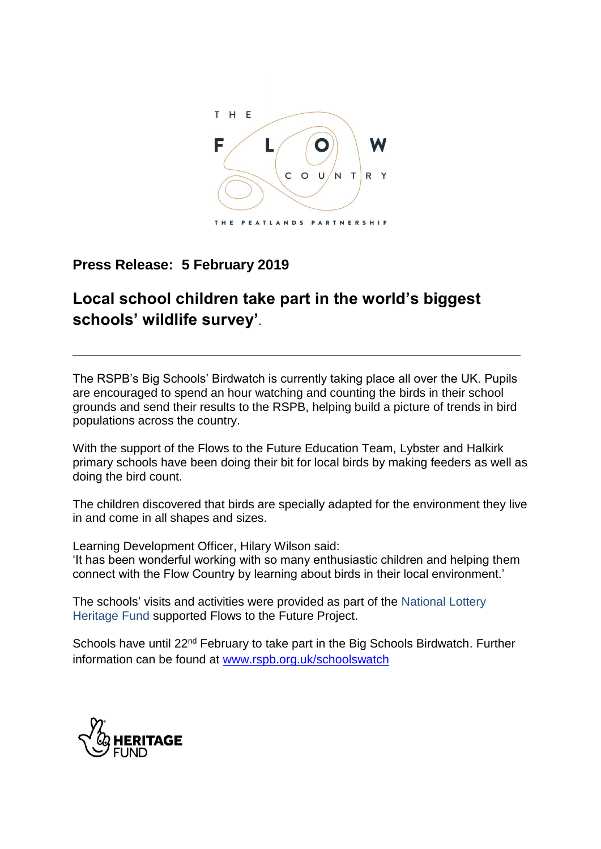

## **Press Release: 5 February 2019**

## **Local school children take part in the world's biggest schools' wildlife survey'**.

The RSPB's Big Schools' Birdwatch is currently taking place all over the UK. Pupils are encouraged to spend an hour watching and counting the birds in their school grounds and send their results to the RSPB, helping build a picture of trends in bird populations across the country.

**\_\_\_\_\_\_\_\_\_\_\_\_\_\_\_\_\_\_\_\_\_\_\_\_\_\_\_\_\_\_\_\_\_\_\_\_\_\_\_\_\_\_\_\_\_\_\_\_\_\_\_\_\_\_\_\_\_**

With the support of the Flows to the Future Education Team, Lybster and Halkirk primary schools have been doing their bit for local birds by making feeders as well as doing the bird count.

The children discovered that birds are specially adapted for the environment they live in and come in all shapes and sizes.

Learning Development Officer, Hilary Wilson said: 'It has been wonderful working with so many enthusiastic children and helping them connect with the Flow Country by learning about birds in their local environment.'

The schools' visits and activities were provided as part of the National Lottery Heritage Fund supported Flows to the Future Project.

Schools have until 22<sup>nd</sup> February to take part in the Big Schools Birdwatch. Further information can be found at [www.rspb.org.uk/schoolswatch](http://www.rspb.org.uk/schoolswatch)